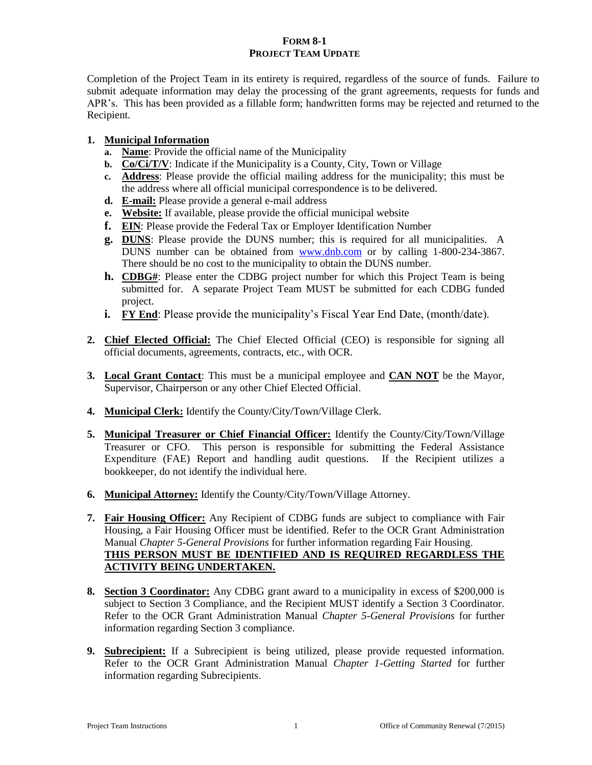## **FORM 8-1 PROJECT TEAM UPDATE**

Completion of the Project Team in its entirety is required, regardless of the source of funds. Failure to submit adequate information may delay the processing of the grant agreements, requests for funds and APR's. This has been provided as a fillable form; handwritten forms may be rejected and returned to the Recipient.

# **1. Municipal Information**

- **a. Name**: Provide the official name of the Municipality
- **b. Co/Ci/T/V**: Indicate if the Municipality is a County, City, Town or Village
- **c. Address**: Please provide the official mailing address for the municipality; this must be the address where all official municipal correspondence is to be delivered.
- **d. E-mail:** Please provide a general e-mail address
- **e. Website:** If available, please provide the official municipal website
- **f. EIN**: Please provide the Federal Tax or Employer Identification Number
- **g. DUNS**: Please provide the DUNS number; this is required for all municipalities. A DUNS number can be obtained from [www.dnb.com](http://www.dnb.com/) or by calling 1-800-234-3867. There should be no cost to the municipality to obtain the DUNS number.
- **h. CDBG#**: Please enter the CDBG project number for which this Project Team is being submitted for. A separate Project Team MUST be submitted for each CDBG funded project.
- **i. FY End**: Please provide the municipality's Fiscal Year End Date, (month/date).
- **2. Chief Elected Official:** The Chief Elected Official (CEO) is responsible for signing all official documents, agreements, contracts, etc., with OCR.
- **3. Local Grant Contact**: This must be a municipal employee and **CAN NOT** be the Mayor, Supervisor, Chairperson or any other Chief Elected Official.
- **4. Municipal Clerk:** Identify the County/City/Town/Village Clerk.
- **5. Municipal Treasurer or Chief Financial Officer:** Identify the County/City/Town/Village Treasurer or CFO. This person is responsible for submitting the Federal Assistance Expenditure (FAE) Report and handling audit questions. If the Recipient utilizes a bookkeeper, do not identify the individual here.
- **6. Municipal Attorney:** Identify the County/City/Town/Village Attorney.
- **7. Fair Housing Officer:** Any Recipient of CDBG funds are subject to compliance with Fair Housing, a Fair Housing Officer must be identified. Refer to the OCR Grant Administration Manual *Chapter 5-General Provisions* for further information regarding Fair Housing. **THIS PERSON MUST BE IDENTIFIED AND IS REQUIRED REGARDLESS THE ACTIVITY BEING UNDERTAKEN.**
- **8. Section 3 Coordinator:** Any CDBG grant award to a municipality in excess of \$200,000 is subject to Section 3 Compliance, and the Recipient MUST identify a Section 3 Coordinator. Refer to the OCR Grant Administration Manual *Chapter 5-General Provisions* for further information regarding Section 3 compliance.
- **9. Subrecipient:** If a Subrecipient is being utilized, please provide requested information. Refer to the OCR Grant Administration Manual *Chapter 1-Getting Started* for further information regarding Subrecipients.